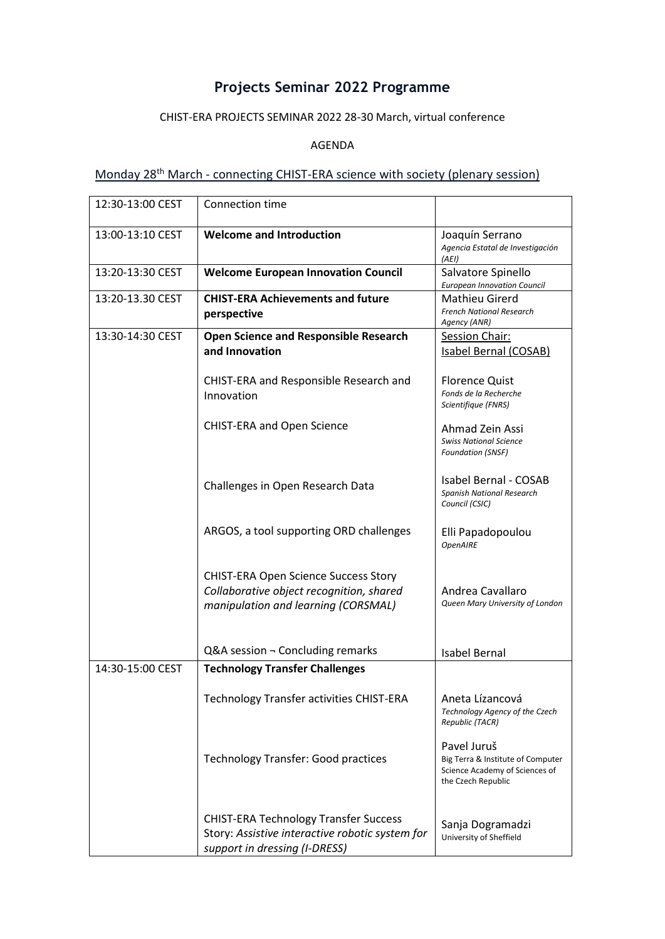# **Projects Seminar 2022 Programme**

#### CHIST-ERA PROJECTS SEMINAR 2022 28-30 March, virtual conference

#### AGENDA

### Monday 28<sup>th</sup> March - connecting CHIST-ERA science with society (plenary session)

| 12:30-13:00 CEST | Connection time                                                                                                                  |                                                                                                          |
|------------------|----------------------------------------------------------------------------------------------------------------------------------|----------------------------------------------------------------------------------------------------------|
| 13:00-13:10 CEST | <b>Welcome and Introduction</b>                                                                                                  | Joaquín Serrano<br>Agencia Estatal de Investigación<br>(AEI)                                             |
| 13:20-13:30 CEST | <b>Welcome European Innovation Council</b>                                                                                       | Salvatore Spinello<br><b>European Innovation Council</b>                                                 |
| 13:20-13.30 CEST | <b>CHIST-ERA Achievements and future</b><br>perspective                                                                          | Mathieu Girerd<br><b>French National Research</b><br>Agency (ANR)                                        |
| 13:30-14:30 CEST | <b>Open Science and Responsible Research</b><br>and Innovation                                                                   | Session Chair:<br><b>Isabel Bernal (COSAB)</b>                                                           |
|                  | CHIST-ERA and Responsible Research and<br>Innovation                                                                             | <b>Florence Quist</b><br>Fonds de la Recherche<br>Scientifique (FNRS)                                    |
|                  | CHIST-ERA and Open Science                                                                                                       | Ahmad Zein Assi<br><b>Swiss National Science</b><br><b>Foundation (SNSF)</b>                             |
|                  | Challenges in Open Research Data                                                                                                 | <b>Isabel Bernal - COSAB</b><br><b>Spanish National Research</b><br>Council (CSIC)                       |
|                  | ARGOS, a tool supporting ORD challenges                                                                                          | Elli Papadopoulou<br><b>OpenAIRE</b>                                                                     |
|                  | <b>CHIST-ERA Open Science Success Story</b><br>Collaborative object recognition, shared<br>manipulation and learning (CORSMAL)   | Andrea Cavallaro<br>Queen Mary University of London                                                      |
|                  | Q&A session $\neg$ Concluding remarks                                                                                            | <b>Isabel Bernal</b>                                                                                     |
| 14:30-15:00 CEST | <b>Technology Transfer Challenges</b>                                                                                            |                                                                                                          |
|                  | <b>Technology Transfer activities CHIST-ERA</b>                                                                                  | Aneta Lízancová<br>Technology Agency of the Czech<br>Republic (TACR)                                     |
|                  | <b>Technology Transfer: Good practices</b>                                                                                       | Pavel Juruš<br>Big Terra & Institute of Computer<br>Science Academy of Sciences of<br>the Czech Republic |
|                  | <b>CHIST-ERA Technology Transfer Success</b><br>Story: Assistive interactive robotic system for<br>support in dressing (I-DRESS) | Sanja Dogramadzi<br>University of Sheffield                                                              |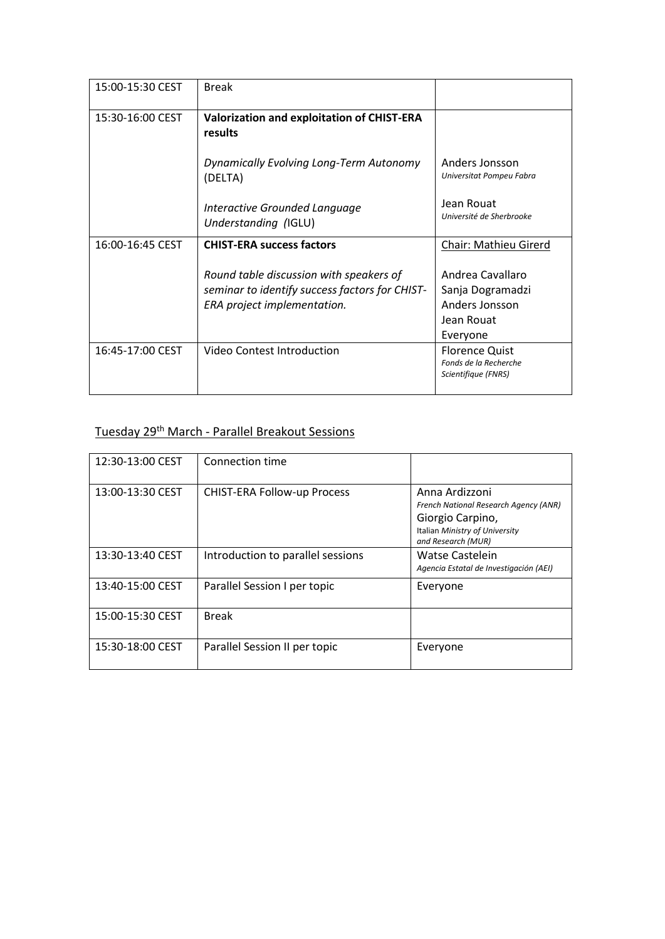| 15:00-15:30 CEST | <b>Break</b>                                                                                                             |                                                                                  |
|------------------|--------------------------------------------------------------------------------------------------------------------------|----------------------------------------------------------------------------------|
| 15:30-16:00 CEST | Valorization and exploitation of CHIST-ERA<br>results                                                                    |                                                                                  |
|                  | Dynamically Evolving Long-Term Autonomy<br>(DELTA)                                                                       | Anders Jonsson<br>Universitat Pompeu Fabra                                       |
|                  | Interactive Grounded Language<br>Understanding (IGLU)                                                                    | Jean Rouat<br>Université de Sherbrooke                                           |
| 16:00-16:45 CEST | <b>CHIST-ERA success factors</b>                                                                                         | Chair: Mathieu Girerd                                                            |
|                  |                                                                                                                          |                                                                                  |
|                  | Round table discussion with speakers of<br>seminar to identify success factors for CHIST-<br>ERA project implementation. | Andrea Cavallaro<br>Sanja Dogramadzi<br>Anders Jonsson<br>Jean Rouat<br>Everyone |

### Tuesday 29th March - Parallel Breakout Sessions

| 12:30-13:00 CEST | Connection time                    |                                                                                                                                     |
|------------------|------------------------------------|-------------------------------------------------------------------------------------------------------------------------------------|
| 13:00-13:30 CEST | <b>CHIST-ERA Follow-up Process</b> | Anna Ardizzoni<br>French National Research Agency (ANR)<br>Giorgio Carpino,<br>Italian Ministry of University<br>and Research (MUR) |
| 13:30-13:40 CEST | Introduction to parallel sessions  | Watse Castelein<br>Agencia Estatal de Investigación (AEI)                                                                           |
| 13:40-15:00 CEST | Parallel Session I per topic       | Everyone                                                                                                                            |
| 15:00-15:30 CEST | <b>Break</b>                       |                                                                                                                                     |
| 15:30-18:00 CEST | Parallel Session II per topic      | Everyone                                                                                                                            |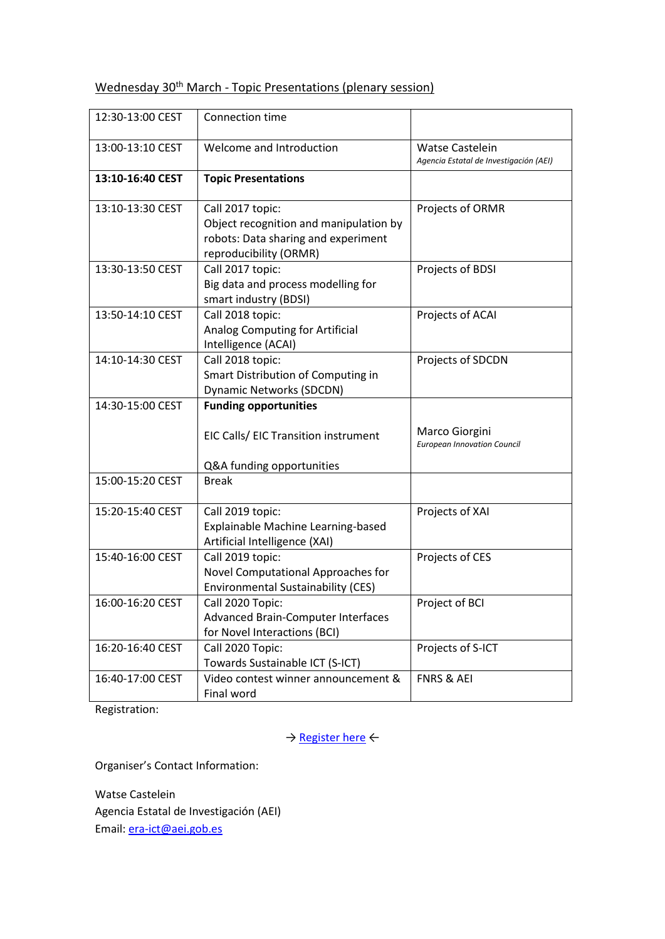## Wednesday 30<sup>th</sup> March - Topic Presentations (plenary session)

| 12:30-13:00 CEST | Connection time                                                                                                             |                                                           |
|------------------|-----------------------------------------------------------------------------------------------------------------------------|-----------------------------------------------------------|
| 13:00-13:10 CEST | Welcome and Introduction                                                                                                    | Watse Castelein<br>Agencia Estatal de Investigación (AEI) |
| 13:10-16:40 CEST | <b>Topic Presentations</b>                                                                                                  |                                                           |
| 13:10-13:30 CEST | Call 2017 topic:<br>Object recognition and manipulation by<br>robots: Data sharing and experiment<br>reproducibility (ORMR) | Projects of ORMR                                          |
| 13:30-13:50 CEST | Call 2017 topic:<br>Big data and process modelling for<br>smart industry (BDSI)                                             | Projects of BDSI                                          |
| 13:50-14:10 CEST | Call 2018 topic:<br>Analog Computing for Artificial<br>Intelligence (ACAI)                                                  | Projects of ACAI                                          |
| 14:10-14:30 CEST | Call 2018 topic:<br>Smart Distribution of Computing in<br><b>Dynamic Networks (SDCDN)</b>                                   | Projects of SDCDN                                         |
| 14:30-15:00 CEST | <b>Funding opportunities</b>                                                                                                |                                                           |
|                  | EIC Calls/ EIC Transition instrument                                                                                        | Marco Giorgini<br><b>European Innovation Council</b>      |
|                  | Q&A funding opportunities                                                                                                   |                                                           |
| 15:00-15:20 CEST | <b>Break</b>                                                                                                                |                                                           |
| 15:20-15:40 CEST | Call 2019 topic:<br>Explainable Machine Learning-based<br>Artificial Intelligence (XAI)                                     | Projects of XAI                                           |
| 15:40-16:00 CEST | Call 2019 topic:<br>Novel Computational Approaches for<br><b>Environmental Sustainability (CES)</b>                         | Projects of CES                                           |
| 16:00-16:20 CEST | Call 2020 Topic:<br>Advanced Brain-Computer Interfaces<br>for Novel Interactions (BCI)                                      | Project of BCI                                            |
| 16:20-16:40 CEST | Call 2020 Topic:<br>Towards Sustainable ICT (S-ICT)                                                                         | Projects of S-ICT                                         |
| 16:40-17:00 CEST | Video contest winner announcement &<br>Final word                                                                           | <b>FNRS &amp; AEI</b>                                     |

Registration:

→ [Register here](https://www.chistera.eu/projects-seminar-2022-registration) ←

Organiser's Contact Information:

Watse Castelein Agencia Estatal de Investigación (AEI) Email: [era-ict@aei.gob.es](mailto:era-ict@aei.gob.es)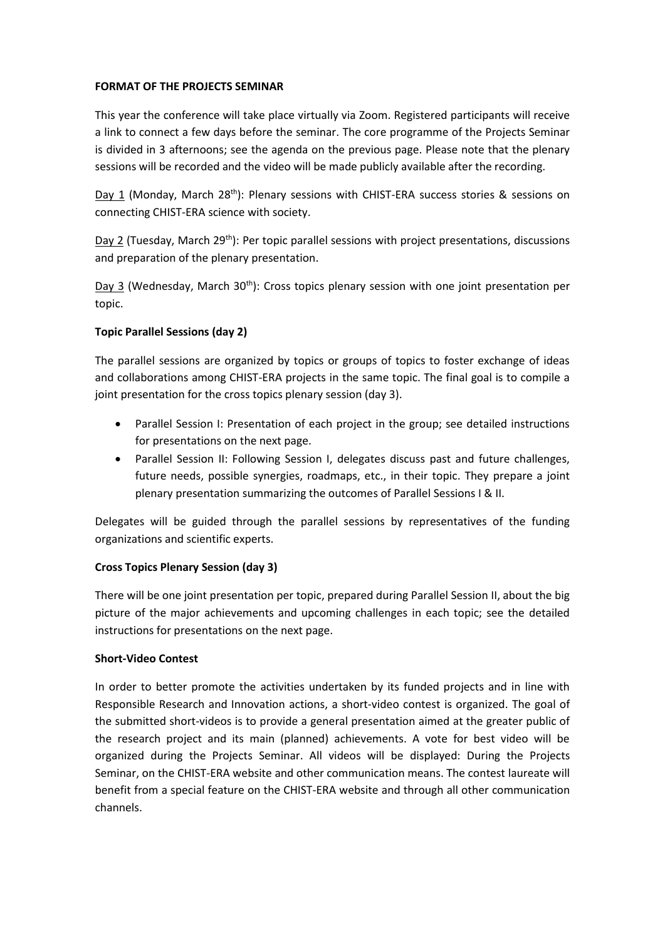#### **FORMAT OF THE PROJECTS SEMINAR**

This year the conference will take place virtually via Zoom. Registered participants will receive a link to connect a few days before the seminar. The core programme of the Projects Seminar is divided in 3 afternoons; see the agenda on the previous page. Please note that the plenary sessions will be recorded and the video will be made publicly available after the recording.

Day 1 (Monday, March 28<sup>th</sup>): Plenary sessions with CHIST-ERA success stories & sessions on connecting CHIST-ERA science with society.

Day 2 (Tuesday, March 29<sup>th</sup>): Per topic parallel sessions with project presentations, discussions and preparation of the plenary presentation.

Day 3 (Wednesday, March 30<sup>th</sup>): Cross topics plenary session with one joint presentation per topic.

#### **Topic Parallel Sessions (day 2)**

The parallel sessions are organized by topics or groups of topics to foster exchange of ideas and collaborations among CHIST-ERA projects in the same topic. The final goal is to compile a joint presentation for the cross topics plenary session (day 3).

- Parallel Session I: Presentation of each project in the group; see detailed instructions for presentations on the next page.
- Parallel Session II: Following Session I, delegates discuss past and future challenges, future needs, possible synergies, roadmaps, etc., in their topic. They prepare a joint plenary presentation summarizing the outcomes of Parallel Sessions I & II.

Delegates will be guided through the parallel sessions by representatives of the funding organizations and scientific experts.

#### **Cross Topics Plenary Session (day 3)**

There will be one joint presentation per topic, prepared during Parallel Session II, about the big picture of the major achievements and upcoming challenges in each topic; see the detailed instructions for presentations on the next page.

#### **Short-Video Contest**

In order to better promote the activities undertaken by its funded projects and in line with Responsible Research and Innovation actions, a short-video contest is organized. The goal of the submitted short-videos is to provide a general presentation aimed at the greater public of the research project and its main (planned) achievements. A vote for best video will be organized during the Projects Seminar. All videos will be displayed: During the Projects Seminar, on the CHIST-ERA website and other communication means. The contest laureate will benefit from a special feature on the CHIST-ERA website and through all other communication channels.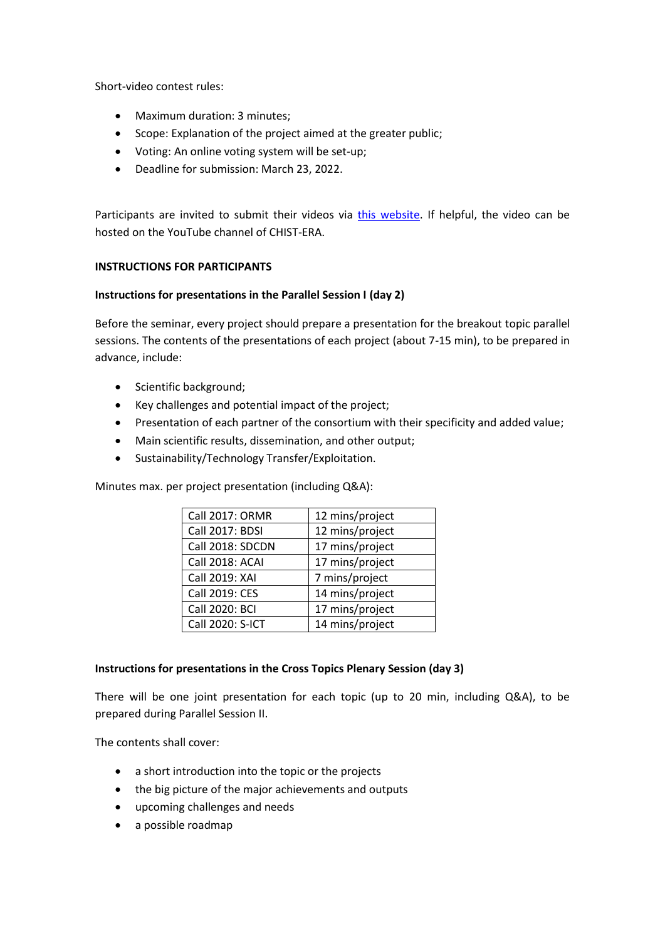Short-video contest rules:

- Maximum duration: 3 minutes;
- Scope: Explanation of the project aimed at the greater public;
- Voting: An online voting system will be set-up;
- Deadline for submission: March 23, 2022.

Participants are invited to submit their videos via [this website.](https://survey.alchemer.eu/s3/90420529/CHIST-ERA-PS-2022-Short-video-contest) If helpful, the video can be hosted on the YouTube channel of CHIST-ERA.

#### **INSTRUCTIONS FOR PARTICIPANTS**

#### **Instructions for presentations in the Parallel Session I (day 2)**

Before the seminar, every project should prepare a presentation for the breakout topic parallel sessions. The contents of the presentations of each project (about 7-15 min), to be prepared in advance, include:

- Scientific background;
- Key challenges and potential impact of the project;
- Presentation of each partner of the consortium with their specificity and added value;
- Main scientific results, dissemination, and other output;
- Sustainability/Technology Transfer/Exploitation.

Minutes max. per project presentation (including Q&A):

| <b>Call 2017: ORMR</b> | 12 mins/project |
|------------------------|-----------------|
| <b>Call 2017: BDSI</b> | 12 mins/project |
| Call 2018: SDCDN       | 17 mins/project |
| Call 2018: ACAI        | 17 mins/project |
| Call 2019: XAI         | 7 mins/project  |
| Call 2019: CES         | 14 mins/project |
| Call 2020: BCI         | 17 mins/project |
| Call 2020: S-ICT       | 14 mins/project |

#### **Instructions for presentations in the Cross Topics Plenary Session (day 3)**

There will be one joint presentation for each topic (up to 20 min, including Q&A), to be prepared during Parallel Session II.

The contents shall cover:

- a short introduction into the topic or the projects
- the big picture of the major achievements and outputs
- upcoming challenges and needs
- a possible roadmap